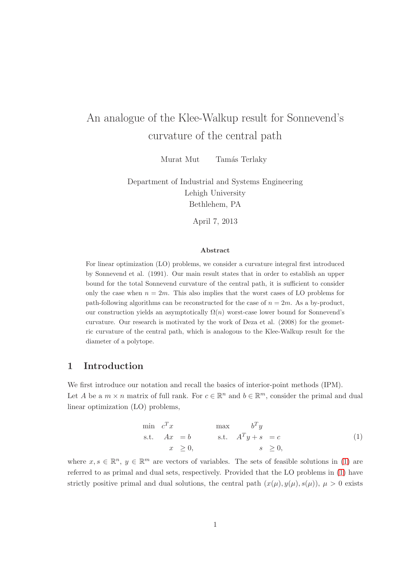# An analogue of the Klee-Walkup result for Sonnevend's curvature of the central path

Murat Mut Tamás Terlaky

Department of Industrial and Systems Engineering Lehigh University Bethlehem, PA

April 7, 2013

#### Abstract

For linear optimization (LO) problems, we consider a curvature integral first introduced by Sonnevend et al. (1991). Our main result states that in order to establish an upper bound for the total Sonnevend curvature of the central path, it is sufficient to consider only the case when  $n = 2m$ . This also implies that the worst cases of LO problems for path-following algorithms can be reconstructed for the case of  $n = 2m$ . As a by-product, our construction yields an asymptotically  $\Omega(n)$  worst-case lower bound for Sonnevend's curvature. Our research is motivated by the work of Deza et al. (2008) for the geometric curvature of the central path, which is analogous to the Klee-Walkup result for the diameter of a polytope.

# 1 Introduction

<span id="page-0-0"></span>We first introduce our notation and recall the basics of interior-point methods (IPM). Let A be a  $m \times n$  matrix of full rank. For  $c \in \mathbb{R}^n$  and  $b \in \mathbb{R}^m$ , consider the primal and dual linear optimization (LO) problems,

$$
\begin{array}{ll}\n\min \ c^T x & \max \ c^T y \\
\text{s.t.} \quad Ax = b & \text{s.t.} \quad A^T y + s = c \\
x \geq 0, & s \geq 0,\n\end{array} \tag{1}
$$

where  $x, s \in \mathbb{R}^n$ ,  $y \in \mathbb{R}^m$  are vectors of variables. The sets of feasible solutions in [\(1\)](#page-0-0) are referred to as primal and dual sets, respectively. Provided that the LO problems in [\(1\)](#page-0-0) have strictly positive primal and dual solutions, the central path  $(x(\mu), y(\mu), s(\mu))$ ,  $\mu > 0$  exists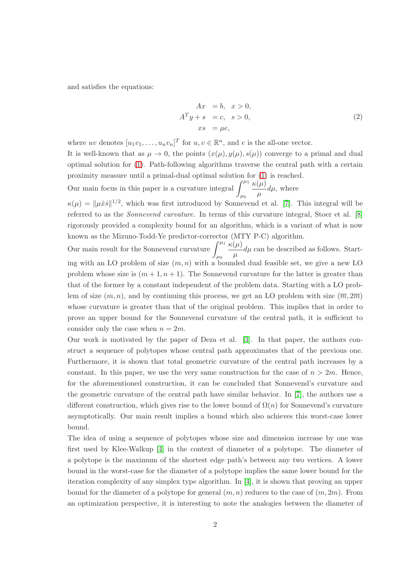<span id="page-1-0"></span>and satisfies the equations:

$$
Ax = b, x > 0,ATy + s = c, s > 0,xs = \mu e,
$$
 (2)

where uv denotes  $[u_1v_1,\ldots,u_nv_n]^T$  for  $u, v \in \mathbb{R}^n$ , and e is the all-one vector.

It is well-known that as  $\mu \to 0$ , the points  $(x(\mu), y(\mu), s(\mu))$  converge to a primal and dual optimal solution for [\(1\)](#page-0-0). Path-following algorithms traverse the central path with a certain proximity measure until a primal-dual optimal solution for [\(1\)](#page-0-0) is reached.

Our main focus in this paper is a curvature integral  $\int^{\mu_1}$  $\mu_0$  $\kappa(\mu)$  $\frac{\partial^{\mu\nu}}{\partial \mu}d\mu$ , where

 $\kappa(\mu) = ||\mu \dot{x} \dot{s}||^{1/2}$ , which was first introduced by Sonnevend et al. [\[7\]](#page-13-0). This integral will be referred to as the Sonnevend curvature. In terms of this curvature integral, Stoer et al. [\[8\]](#page-13-1) rigorously provided a complexity bound for an algorithm, which is a variant of what is now known as the Mizuno-Todd-Ye predictor-corrector (MTY P-C) algorithm.

Our main result for the Sonnevend curvature  $\int^{\mu_1}$  $\mu_0$  $\kappa(\mu)$  $\frac{\partial P}{\partial \mu} d\mu$  can be described as follows. Starting with an LO problem of size  $(m, n)$  with a bounded dual feasible set, we give a new LO problem whose size is  $(m+1, n+1)$ . The Sonnevend curvature for the latter is greater than that of the former by a constant independent of the problem data. Starting with a LO problem of size  $(m, n)$ , and by continuing this process, we get an LO problem with size  $(\overline{m}, 2\overline{m})$ whose curvature is greater than that of the original problem. This implies that in order to prove an upper bound for the Sonnevend curvature of the central path, it is sufficient to consider only the case when  $n = 2m$ .

Our work is motivated by the paper of Deza et al. [\[3\]](#page-13-2). In that paper, the authors construct a sequence of polytopes whose central path approximates that of the previous one. Furthermore, it is shown that total geometric curvature of the central path increases by a constant. In this paper, we use the very same construction for the case of  $n > 2m$ . Hence, for the aforementioned construction, it can be concluded that Sonnevend's curvature and the geometric curvature of the central path have similar behavior. In [\[7\]](#page-13-0), the authors use a different construction, which gives rise to the lower bound of  $\Omega(n)$  for Sonnevend's curvature asymptotically. Our main result implies a bound which also achieves this worst-case lower bound.

The idea of using a sequence of polytopes whose size and dimension increase by one was first used by Klee-Walkup [\[4\]](#page-13-3) in the context of diameter of a polytope. The diameter of a polytope is the maximum of the shortest edge path's between any two vertices. A lower bound in the worst-case for the diameter of a polytope implies the same lower bound for the iteration complexity of any simplex type algorithm. In [\[4\]](#page-13-3), it is shown that proving an upper bound for the diameter of a polytope for general  $(m, n)$  reduces to the case of  $(m, 2m)$ . From an optimization perspective, it is interesting to note the analogies between the diameter of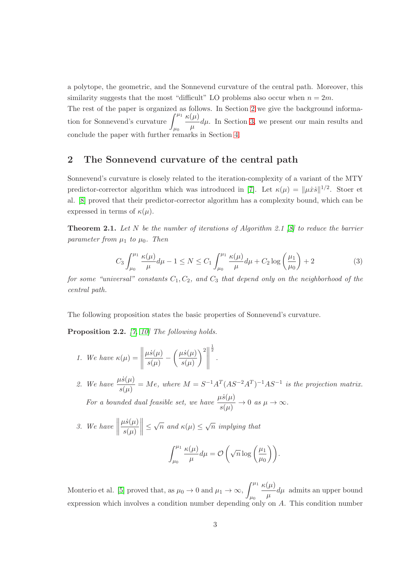a polytope, the geometric, and the Sonnevend curvature of the central path. Moreover, this similarity suggests that the most "difficult" LO problems also occur when  $n = 2m$ .

The rest of the paper is organized as follows. In Section [2](#page-2-0) we give the background information for Sonnevend's curvature  $\int^{\mu_1}$  $\mu_0$  $\kappa(\mu)$  $\frac{\partial u}{\partial \mu}d\mu$ . In Section [3,](#page-3-0) we present our main results and conclude the paper with further remarks in Section [4.](#page-12-0)

# <span id="page-2-0"></span>2 The Sonnevend curvature of the central path

Sonnevend's curvature is closely related to the iteration-complexity of a variant of the MTY predictor-corrector algorithm which was introduced in [\[7\]](#page-13-0). Let  $\kappa(\mu) = ||\mu \dot{x} \dot{s}||^{1/2}$ . Stoer et al. [\[8\]](#page-13-1) proved that their predictor-corrector algorithm has a complexity bound, which can be expressed in terms of  $\kappa(\mu)$ .

**Theorem 2.1.** Let N be the number of iterations of Algorithm 2.1 [\[8\]](#page-13-1) to reduce the barrier parameter from  $\mu_1$  to  $\mu_0$ . Then

$$
C_3 \int_{\mu_0}^{\mu_1} \frac{\kappa(\mu)}{\mu} d\mu - 1 \le N \le C_1 \int_{\mu_0}^{\mu_1} \frac{\kappa(\mu)}{\mu} d\mu + C_2 \log \left(\frac{\mu_1}{\mu_0}\right) + 2 \tag{3}
$$

for some "universal" constants  $C_1, C_2$ , and  $C_3$  that depend only on the neighborhood of the central path.

<span id="page-2-1"></span>The following proposition states the basic properties of Sonnevend's curvature.

Proposition 2.2. [\[7,](#page-13-0) [10\]](#page-13-4) The following holds.

- 1. We have  $\kappa(\mu) =$   $\mu \dot s(\mu)$  $\frac{1}{s(\mu)}$  –  $\int \mu \dot{s}(\mu)$  $s(\mu)$  $\bigg)^2\bigg\|$  $\frac{1}{2}$ .
- 2. We have  $\frac{\mu \dot{s}(\mu)}{s(\mu)} = Me$ , where  $M = S^{-1}A^{T}(AS^{-2}A^{T})^{-1}AS^{-1}$  is the projection matrix. For a bounded dual feasible set, we have  $\frac{\mu \dot{s}(\mu)}{s(\mu)} \to 0$  as  $\mu \to \infty$ .

3. We have 
$$
\left\|\frac{\mu \dot{s}(\mu)}{s(\mu)}\right\| \leq \sqrt{n}
$$
 and  $\kappa(\mu) \leq \sqrt{n}$  implying that

$$
\int_{\mu_0}^{\mu_1} \frac{\kappa(\mu)}{\mu} d\mu = \mathcal{O}\left(\sqrt{n} \log\left(\frac{\mu_1}{\mu_0}\right)\right).
$$

Monterio et al. [\[5\]](#page-13-5) proved that, as  $\mu_0 \to 0$  and  $\mu_1 \to \infty$ ,  $\int^{\mu_1}$  $\mu_0$  $\kappa(\mu)$  $\frac{\partial \mu}{\partial \mu} d\mu$  admits an upper bound expression which involves a condition number depending only on A. This condition number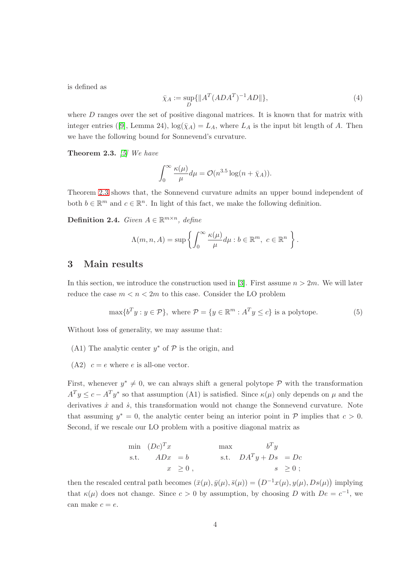is defined as

$$
\bar{\chi}_A := \sup_D \{ \|A^T (ADA^T)^{-1} AD\| \},\tag{4}
$$

<span id="page-3-1"></span>where  $D$  ranges over the set of positive diagonal matrices. It is known that for matrix with integer entries ([\[9\]](#page-13-6), Lemma 24),  $\log(\bar{\chi}_A) = L_A$ , where  $L_A$  is the input bit length of A. Then we have the following bound for Sonnevend's curvature.

**Theorem 2.3.** [\[5\]](#page-13-5) We have

$$
\int_0^\infty \frac{\kappa(\mu)}{\mu} d\mu = \mathcal{O}(n^{3.5} \log(n + \bar{\chi}_A)).
$$

<span id="page-3-3"></span>Theorem [2.3](#page-3-1) shows that, the Sonnevend curvature admits an upper bound independent of both  $b \in \mathbb{R}^m$  and  $c \in \mathbb{R}^n$ . In light of this fact, we make the following definition.

Definition 2.4. Given  $A \in \mathbb{R}^{m \times n}$ , define

<span id="page-3-2"></span>
$$
\Lambda(m, n, A) = \sup \left\{ \int_0^\infty \frac{\kappa(\mu)}{\mu} d\mu : b \in \mathbb{R}^m, \ c \in \mathbb{R}^n \right\}.
$$

## <span id="page-3-0"></span>3 Main results

In this section, we introduce the construction used in [\[3\]](#page-13-2). First assume  $n > 2m$ . We will later reduce the case  $m < n < 2m$  to this case. Consider the LO problem

$$
\max\{b^T y : y \in \mathcal{P}\}, \text{ where } \mathcal{P} = \{y \in \mathbb{R}^m : A^T y \le c\} \text{ is a polytope.}
$$
 (5)

Without loss of generality, we may assume that:

- (A1) The analytic center  $y^*$  of  ${\mathcal P}$  is the origin, and
- (A2)  $c = e$  where e is all-one vector.

First, whenever  $y^* \neq 0$ , we can always shift a general polytope  $P$  with the transformation  $A^T y \leq c - A^T y^*$  so that assumption (A1) is satisfied. Since  $\kappa(\mu)$  only depends on  $\mu$  and the derivatives  $\dot{x}$  and  $\dot{s}$ , this transformation would not change the Sonnevend curvature. Note that assuming  $y^* = 0$ , the analytic center being an interior point in  $P$  implies that  $c > 0$ . Second, if we rescale our LO problem with a positive diagonal matrix as

$$
\begin{array}{ll}\n\text{min} & (Dc)^T x \\
\text{s.t.} & ADx = b \\
& x \geq 0 \,,\n\end{array}\n\quad\n\begin{array}{ll}\n\text{max} & b^T y \\
\text{s.t.} & DA^T y + Ds = Dc \\
& s \geq 0 \,,\n\end{array}
$$

then the rescaled central path becomes  $(\bar{x}(\mu), \bar{y}(\mu), \bar{s}(\mu)) = (D^{-1}x(\mu), y(\mu), Ds(\mu))$  implying that  $\kappa(\mu)$  does not change. Since  $c > 0$  by assumption, by choosing D with  $De = c^{-1}$ , we can make  $c = e$ .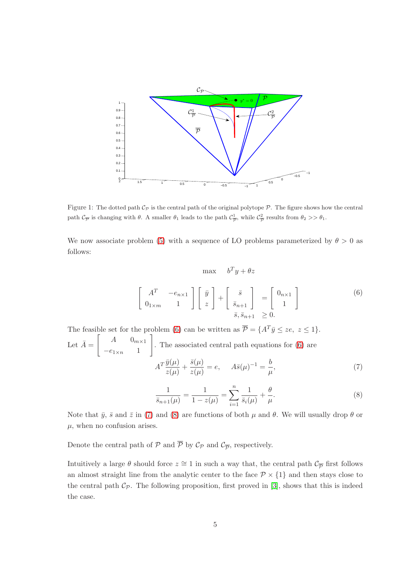

Figure 1: The dotted path  $C_{\mathcal{P}}$  is the central path of the original polytope  $\mathcal{P}$ . The figure shows how the central path  $\mathcal{C}_{\overline{P}}$  is changing with  $\theta$ . A smaller  $\theta_1$  leads to the path  $\mathcal{C}_{\overline{P}}^1$ , while  $\mathcal{C}_{\overline{P}}^2$  results from  $\theta_2 >> \theta_1$ .

<span id="page-4-0"></span>We now associate problem [\(5\)](#page-3-2) with a sequence of LO problems parameterized by  $\theta > 0$  as follows:

$$
\max \quad b^T y + \theta z
$$

$$
\begin{bmatrix} A^T & -e_{n \times 1} \\ 0_{1 \times m} & 1 \end{bmatrix} \begin{bmatrix} \bar{y} \\ z \end{bmatrix} + \begin{bmatrix} \bar{s} \\ \bar{s}_{n+1} \\ \bar{s}, \bar{s}_{n+1} \end{bmatrix} = \begin{bmatrix} 0_{n \times 1} \\ 1 \end{bmatrix}
$$
(6)

<span id="page-4-1"></span>The feasible set for the problem [\(6\)](#page-4-0) can be written as  $\overline{\mathcal{P}} = \{A^T \overline{y} \leq ze, z \leq 1\}.$ Let  $\bar{A} = \begin{bmatrix} A & 0_{m \times 1} \end{bmatrix}$  $-e_{1\times n}$  1 1 . The associated central path equations for [\(6\)](#page-4-0) are  $A^T \frac{\bar{y}(\mu)}{\sqrt{2}}$  $\frac{\bar{y}(\mu)}{z(\mu)}+\frac{\bar{s}(\mu)}{z(\mu)}$  $\frac{\bar{s}(\mu)}{z(\mu)}=e, \hspace{0.5cm} A\bar{s}(\mu)^{-1}=\frac{b}{\mu}$  $\mu$  $(7)$ 

$$
\frac{1}{\bar{s}_{n+1}(\mu)} = \frac{1}{1 - z(\mu)} = \sum_{i=1}^{n} \frac{1}{\bar{s}_i(\mu)} + \frac{\theta}{\mu}.
$$
 (8)

<span id="page-4-2"></span>Note that  $\bar{y}$ ,  $\bar{s}$  and  $\bar{z}$  in [\(7\)](#page-4-1) and [\(8\)](#page-4-2) are functions of both  $\mu$  and  $\theta$ . We will usually drop  $\theta$  or  $\mu$ , when no confusion arises.

Denote the central path of  $P$  and  $P$  by  $C_P$  and  $C_{\overline{P}}$ , respectively.

<span id="page-4-3"></span>Intuitively a large  $\theta$  should force  $z \cong 1$  in such a way that, the central path  $\mathcal{C}_{\overline{\mathcal{P}}}$  first follows an almost straight line from the analytic center to the face  $\mathcal{P} \times \{1\}$  and then stays close to the central path  $C_{\mathcal{P}}$ . The following proposition, first proved in [\[3\]](#page-13-2), shows that this is indeed the case.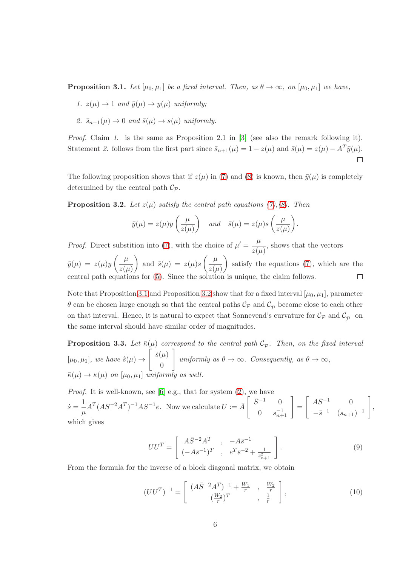**Proposition 3.1.** Let  $[\mu_0, \mu_1]$  be a fixed interval. Then, as  $\theta \to \infty$ , on  $[\mu_0, \mu_1]$  we have,

- 1.  $z(\mu) \rightarrow 1$  and  $\bar{y}(\mu) \rightarrow y(\mu)$  uniformly:
- 2.  $\bar{s}_{n+1}(\mu) \rightarrow 0$  and  $\bar{s}(\mu) \rightarrow s(\mu)$  uniformly.

*Proof.* Claim 1. is the same as Proposition 2.1 in [\[3\]](#page-13-2) (see also the remark following it). Statement 2. follows from the first part since  $\bar{s}_{n+1}(\mu) = 1 - z(\mu)$  and  $\bar{s}(\mu) = z(\mu) - A^T \bar{y}(\mu)$ .  $\Box$ 

<span id="page-5-0"></span>The following proposition shows that if  $z(\mu)$  in [\(7\)](#page-4-1) and [\(8\)](#page-4-2) is known, then  $\bar{y}(\mu)$  is completely determined by the central path  $\mathcal{C}_{\mathcal{P}}$ .

**Proposition 3.2.** Let  $z(\mu)$  satisfy the central path equations [\(7\)](#page-4-1),[\(8\)](#page-4-2). Then

$$
\bar{y}(\mu) = z(\mu)y\left(\frac{\mu}{z(\mu)}\right)
$$
 and  $\bar{s}(\mu) = z(\mu)s\left(\frac{\mu}{z(\mu)}\right)$ .

*Proof.* Direct substition into [\(7\)](#page-4-1), with the choice of  $\mu' = -\frac{\mu}{\sqrt{2\pi}}$  $\frac{\mu}{z(\mu)}$ , shows that the vectors  $\bar{y}(\mu) \,=\, z(\mu) y\left(\frac{\mu}{\sqrt{2}}\right)$ ) and  $\bar{s}(\mu) = z(\mu)s \left( \frac{\mu}{\mu} \right)$  satisfy the equations [\(7\)](#page-4-1), which are the  $z(\mu)$  $z(\mu)$  $\Box$ central path equations for [\(5\)](#page-3-2). Since the solution is unique, the claim follows.

Note that Proposition [3.1](#page-4-3) and Proposition [3.2](#page-5-0) show that for a fixed interval  $[\mu_0, \mu_1]$ , parameter  $\theta$  can be chosen large enough so that the central paths  $\mathcal{C}_{\mathcal{P}}$  and  $\mathcal{C}_{\overline{\mathcal{P}}}$  become close to each other on that interval. Hence, it is natural to expect that Sonnevend's curvature for  $\mathcal{C}_{\mathcal{P}}$  and  $\mathcal{C}_{\overline{\mathcal{P}}}$  on the same interval should have similar order of magnitudes.

<span id="page-5-1"></span>**Proposition 3.3.** Let  $\bar{\kappa}(\mu)$  correspond to the central path  $\mathcal{C}_{\overline{P}}$ . Then, on the fixed interval  $[\mu_0, \mu_1],$  we have  $\dot{\bar{s}}(\mu) \rightarrow$  $\int \dot{s}(\mu)$  $\overline{0}$ 1 uniformly as  $\theta \to \infty$ . Consequently, as  $\theta \to \infty$ ,  $\bar{\kappa}(\mu) \to \kappa(\mu)$  on  $[\mu_0, \mu_1]$  uniformly as well.

*Proof.* It is well-known, see [\[6\]](#page-13-7) e.g., that for system  $(2)$ , we have  $\dot{s}=\frac{1}{\sqrt{2}}$  $\frac{1}{\mu}A^T(AS^{-2}A^T)^{-1}AS^{-1}e$ . Now we calculate  $U := \bar{A} \begin{bmatrix} \bar{S}^{-1} & 0 \\ 0 & s_{\bar{S}}^{-1} \end{bmatrix}$  $\begin{bmatrix} -1 & 0 \\ 0 & s_{n+1}^{-1} \end{bmatrix}$ =  $\int A \bar{S}^{-1}$  0  $-\bar{s}^{-1}$   $(s_{n+1})^{-1}$ 1 which gives

$$
UU^{T} = \begin{bmatrix} A\bar{S}^{-2}A^{T} & , -A\bar{s}^{-1} \\ (-A\bar{s}^{-1})^{T} & , e^{T}\bar{s}^{-2} + \frac{1}{\bar{s}_{n+1}^{2}} \end{bmatrix}.
$$
 (9)

,

From the formula for the inverse of a block diagonal matrix, we obtain

$$
(UU^T)^{-1} = \begin{bmatrix} (A\bar{S}^{-2}A^T)^{-1} + \frac{W_1}{r} , & \frac{W_2}{r} \\ (\frac{W_2}{r})^T , & \frac{1}{r} \end{bmatrix},
$$
(10)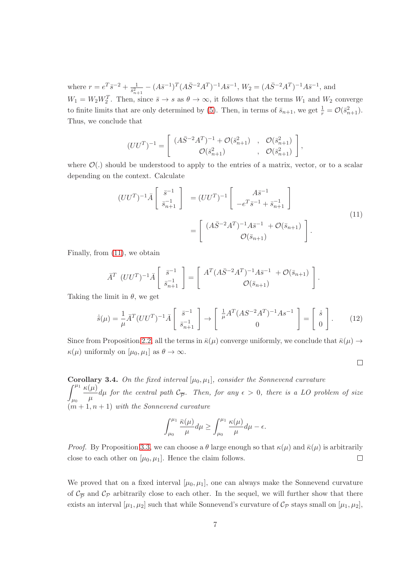where  $r = e^T \bar{s}^{-2} + \frac{1}{\bar{s}^2}$  $\frac{1}{s_{n+1}^2} - (A\bar{s}^{-1})^T (A\bar{S}^{-2}A^T)^{-1}A\bar{s}^{-1}, W_2 = (A\bar{S}^{-2}A^T)^{-1}A\bar{s}^{-1},$  and  $W_1 = W_2 W_2^T$ . Then, since  $\bar{s} \to s$  as  $\theta \to \infty$ , it follows that the terms  $W_1$  and  $W_2$  converge to finite limits that are only determined by [\(5\)](#page-3-2). Then, in terms of  $\bar{s}_{n+1}$ , we get  $\frac{1}{r} = \mathcal{O}(\bar{s}_{n+1}^2)$ . Thus, we conclude that

<span id="page-6-0"></span>
$$
(UU^T)^{-1} = \begin{bmatrix} (A\bar{S}^{-2}A^T)^{-1} + \mathcal{O}(\bar{s}_{n+1}^2) & , & \mathcal{O}(\bar{s}_{n+1}^2) \\ \mathcal{O}(\bar{s}_{n+1}^2) & , & \mathcal{O}(\bar{s}_{n+1}^2) \end{bmatrix},
$$

where  $\mathcal{O}(.)$  should be understood to apply to the entries of a matrix, vector, or to a scalar depending on the context. Calculate

$$
(UU^T)^{-1}\bar{A}\begin{bmatrix} \bar{s}^{-1} \\ \bar{s}_{n+1}^{-1} \end{bmatrix} = (UU^T)^{-1}\begin{bmatrix} A\bar{s}^{-1} \\ -e^{T}\bar{s}^{-1} + \bar{s}_{n+1}^{-1} \end{bmatrix}
$$

$$
= \begin{bmatrix} (A\bar{S}^{-2}A^T)^{-1}A\bar{s}^{-1} + \mathcal{O}(\bar{s}_{n+1}) \\ \mathcal{O}(\bar{s}_{n+1}) \end{bmatrix}.
$$
 (11)

Finally, from [\(11\)](#page-6-0), we obtain

$$
\bar{A}^T (UU^T)^{-1} \bar{A} \begin{bmatrix} \bar{s}^{-1} \\ \bar{s}_{n+1}^{-1} \end{bmatrix} = \begin{bmatrix} A^T (A\bar{S}^{-2}A^T)^{-1} A\bar{s}^{-1} + \mathcal{O}(\bar{s}_{n+1}) \\ \mathcal{O}(\bar{s}_{n+1}) \end{bmatrix}.
$$

Taking the limit in  $\theta$ , we get

$$
\dot{\bar{s}}(\mu) = \frac{1}{\mu} \bar{A}^T (UU^T)^{-1} \bar{A} \begin{bmatrix} \bar{s}^{-1} \\ \bar{s}_{n+1}^{-1} \end{bmatrix} \rightarrow \begin{bmatrix} \frac{1}{\mu} A^T (AS^{-2}A^T)^{-1} As^{-1} \\ 0 \end{bmatrix} = \begin{bmatrix} \dot{s} \\ 0 \end{bmatrix}.
$$
 (12)

Since from Proposition [2.2,](#page-2-1) all the terms in  $\bar{\kappa}(\mu)$  converge uniformly, we conclude that  $\bar{\kappa}(\mu) \rightarrow$  $\kappa(\mu)$  uniformly on  $[\mu_0, \mu_1]$  as  $\theta \to \infty$ .

 $\Box$ 

<span id="page-6-1"></span>**Corollary 3.4.** On the fixed interval  $[\mu_0, \mu_1]$ , consider the Sonnevend curvature  $\int^{\mu_1}$  $\mu_0$  $\kappa(\mu)$  $\frac{\partial P}{\partial \mu}d\mu$  for the central path  $\mathcal{C}_{\overline{P}}$ . Then, for any  $\epsilon > 0$ , there is a LO problem of size  $(m+1, n+1)$  with the Sonnevend curvature

$$
\int_{\mu_0}^{\mu_1} \frac{\bar{\kappa}(\mu)}{\mu} d\mu \ge \int_{\mu_0}^{\mu_1} \frac{\kappa(\mu)}{\mu} d\mu - \epsilon.
$$

*Proof.* By Proposition [3.3,](#page-5-1) we can choose a  $\theta$  large enough so that  $\kappa(\mu)$  and  $\bar{\kappa}(\mu)$  is arbitrarily close to each other on  $[\mu_0, \mu_1]$ . Hence the claim follows.  $\Box$ 

We proved that on a fixed interval  $[\mu_0, \mu_1]$ , one can always make the Sonnevend curvature of  $\mathcal{C}_{\overline{\mathcal{P}}}$  and  $\mathcal{C}_{\mathcal{P}}$  arbitrarily close to each other. In the sequel, we will further show that there exists an interval  $[\mu_1, \mu_2]$  such that while Sonnevend's curvature of  $\mathcal{C}_{\mathcal{P}}$  stays small on  $[\mu_1, \mu_2]$ ,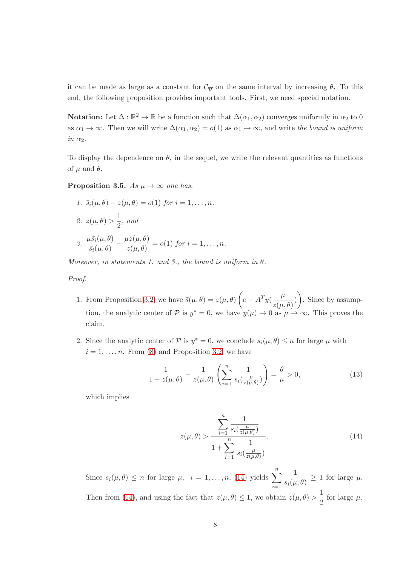it can be made as large as a constant for  $\mathcal{C}_{\overline{P}}$  on the same interval by increasing  $\theta$ . To this end, the following proposition provides important tools. First, we need special notation.

**Notation:** Let  $\Delta : \mathbb{R}^2 \to \mathbb{R}$  be a function such that  $\Delta(\alpha_1, \alpha_2)$  converges uniformly in  $\alpha_2$  to 0 as  $\alpha_1 \to \infty$ . Then we will write  $\Delta(\alpha_1, \alpha_2) = o(1)$  as  $\alpha_1 \to \infty$ , and write the bound is uniform in  $\alpha_2$ .

<span id="page-7-1"></span>To display the dependence on  $\theta$ , in the sequel, we write the relevant quantities as functions of  $\mu$  and  $\theta$ .

**Proposition 3.5.** As  $\mu \to \infty$  one has,

1. 
$$
\bar{s}_i(\mu, \theta) - z(\mu, \theta) = o(1)
$$
 for  $i = 1, ..., n$ ,  
\n2.  $z(\mu, \theta) > \frac{1}{2}$ , and  
\n3.  $\frac{\mu \dot{s}_i(\mu, \theta)}{\bar{s}_i(\mu, \theta)} - \frac{\mu \dot{z}(\mu, \theta)}{z(\mu, \theta)} = o(1)$  for  $i = 1, ..., n$ .

Moreover, in statements 1. and 3., the bound is uniform in  $\theta$ .

### Proof.

- 1. From Proposition [3.2,](#page-5-0) we have  $\bar{s}(\mu,\theta) = z(\mu,\theta) \left( e A^T y (\frac{\mu}{z(\mu,\theta)}) \right)$  $\left(\frac{\mu}{z(\mu,\theta)}\right)$ . Since by assumption, the analytic center of P is  $y^* = 0$ , we have  $y(\mu) \to 0$  as  $\mu \to \infty$ . This proves the claim.
- 2. Since the analytic center of  $P$  is  $y^* = 0$ , we conclude  $s_i(\mu, \theta) \leq n$  for large  $\mu$  with  $i = 1, \ldots, n$ . From [\(8\)](#page-4-2) and Proposition [3.2,](#page-5-0) we have

$$
\frac{1}{1-z(\mu,\theta)} - \frac{1}{z(\mu,\theta)} \left( \sum_{i=1}^n \frac{1}{s_i(\frac{\mu}{z(\mu,\theta)})} \right) = \frac{\theta}{\mu} > 0,
$$
\n(13)

<span id="page-7-0"></span>which implies

$$
z(\mu,\theta) > \frac{\sum_{i=1}^{n} \frac{1}{s_i(\frac{\mu}{z(\mu,\theta)})}}{1 + \sum_{i=1}^{n} \frac{1}{s_i(\frac{\mu}{z(\mu,\theta)})}}.
$$
(14)

Since  $s_i(\mu, \theta) \leq n$  for large  $\mu$ ,  $i = 1, ..., n$ , [\(14\)](#page-7-0) yields  $\sum_{n=1}^n$  $i=1$ 1  $\frac{1}{s_i(\mu,\theta)} \geq 1$  for large  $\mu$ . Then from [\(14\)](#page-7-0), and using the fact that  $z(\mu, \theta) \leq 1$ , we obtain  $z(\mu, \theta) > \frac{1}{2}$  $\frac{1}{2}$  for large  $\mu$ .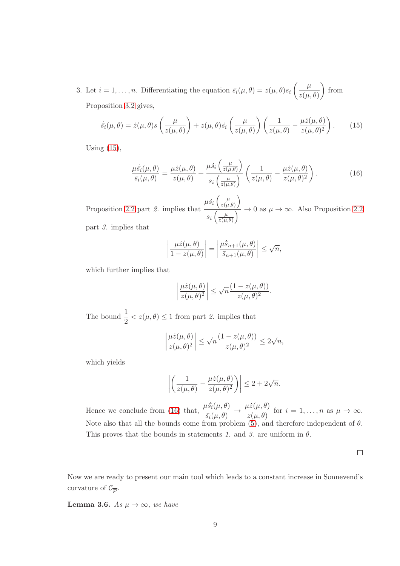3. Let  $i = 1, \ldots, n$ . Differentiating the equation  $\bar{s}_i(\mu, \theta) = z(\mu, \theta) s_i \left( \frac{\mu}{z(\mu, \theta)} \right)$  $z(\mu, \theta)$  $\Big)$  from Proposition [3.2](#page-5-0) gives,

<span id="page-8-0"></span>
$$
\dot{\bar{s}}_i(\mu,\theta) = \dot{z}(\mu,\theta)s\left(\frac{\mu}{z(\mu,\theta)}\right) + z(\mu,\theta)\dot{s}_i\left(\frac{\mu}{z(\mu,\theta)}\right)\left(\frac{1}{z(\mu,\theta)} - \frac{\mu\dot{z}(\mu,\theta)}{z(\mu,\theta)^2}\right). \tag{15}
$$

Using [\(15\)](#page-8-0),

<span id="page-8-1"></span>
$$
\frac{\mu \dot{\bar{s}}_i(\mu,\theta)}{\bar{s}_i(\mu,\theta)} = \frac{\mu \dot{z}(\mu,\theta)}{z(\mu,\theta)} + \frac{\mu \dot{s}_i\left(\frac{\mu}{z(\mu,\theta)}\right)}{s_i\left(\frac{\mu}{z(\mu,\theta)}\right)} \left(\frac{1}{z(\mu,\theta)} - \frac{\mu \dot{z}(\mu,\theta)}{z(\mu,\theta)^2}\right). \tag{16}
$$

Proposition [2.2](#page-2-1) part 2. implies that  $\mu \dot{s_i} \left( \frac{\mu}{z(\mu)} \right)$  $\frac{\mu}{z(\mu,\theta)}\bigg)$  $s_i\left(\frac{\mu}{z(u)}\right)$  $\frac{\mu}{\mu(z(\mu,\theta))}\to 0$  as  $\mu\to\infty$ . Also Proposition [2.2](#page-2-1) part 3. implies that

$$
\left|\frac{\mu\dot{z}(\mu,\theta)}{1-z(\mu,\theta)}\right| = \left|\frac{\mu\dot{\bar{s}}_{n+1}(\mu,\theta)}{\bar{s}_{n+1}(\mu,\theta)}\right| \leq \sqrt{n},
$$

which further implies that

$$
\left|\frac{\mu\dot{z}(\mu,\theta)}{z(\mu,\theta)^2}\right| \leq \sqrt{n}\frac{(1-z(\mu,\theta))}{z(\mu,\theta)^2}.
$$

The bound  $\frac{1}{2} < z(\mu, \theta) \leq 1$  from part 2. implies that

$$
\left|\frac{\mu\dot{z}(\mu,\theta)}{z(\mu,\theta)^2}\right| \leq \sqrt{n}\frac{(1-z(\mu,\theta))}{z(\mu,\theta)^2} \leq 2\sqrt{n},
$$

which yields

$$
\left| \left( \frac{1}{z(\mu,\theta)} - \frac{\mu \dot{z}(\mu,\theta)}{z(\mu,\theta)^2} \right) \right| \leq 2 + 2\sqrt{n}.
$$

Hence we conclude from [\(16\)](#page-8-1) that,  $\frac{\mu \dot{\bar{s}}_i(\mu, \theta)}{\frac{1}{2} (\mu, \theta)}$  $\overline{s_i(\mu,\theta)} \rightarrow$  $\mu \dot{z}(\mu,\theta)$  $\frac{d\mathcal{Z}(\mu, \theta)}{d\mathcal{Z}(\mu, \theta)}$  for  $i = 1, \dots, n$  as  $\mu \to \infty$ . Note also that all the bounds come from problem  $(5)$ , and therefore independent of  $\theta$ . This proves that the bounds in statements 1. and 3. are uniform in  $\theta$ .

 $\Box$ 

<span id="page-8-2"></span>Now we are ready to present our main tool which leads to a constant increase in Sonnevend's curvature of  $\mathcal{C}_{\overline{\mathcal{P}}}$ .

**Lemma 3.6.** As  $\mu \to \infty$ , we have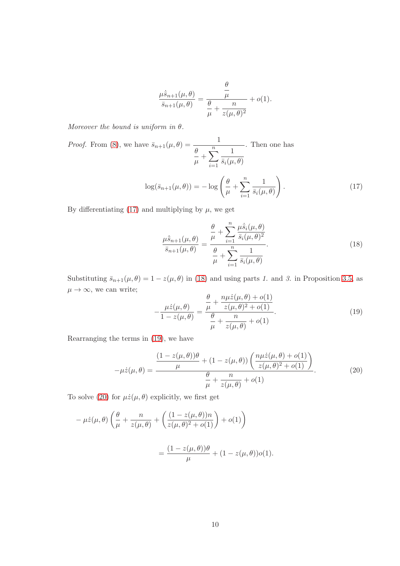<span id="page-9-0"></span>
$$
\frac{\mu \dot{\bar{s}}_{n+1}(\mu,\theta)}{\bar{s}_{n+1}(\mu,\theta)} = \frac{\frac{\theta}{\mu}}{\frac{\theta}{\mu} + \frac{n}{z(\mu,\theta)^2}} + o(1).
$$

Moreover the bound is uniform in  $\theta$ .

*Proof.* From (8), we have 
$$
\bar{s}_{n+1}(\mu, \theta) = \frac{1}{\frac{\theta}{\mu} + \sum_{i=1}^{n} \frac{1}{\bar{s}_i(\mu, \theta)}}
$$
. Then one has  

$$
\log(\bar{s}_{n+1}(\mu, \theta)) = -\log\left(\frac{\theta}{\mu} + \sum_{i=1}^{n} \frac{1}{\bar{s}_i(\mu, \theta)}\right).
$$
(17)

By differentiating [\(17\)](#page-9-0) and multiplying by  $\mu$ , we get

<span id="page-9-1"></span>
$$
\frac{\mu \dot{\bar{s}}_{n+1}(\mu,\theta)}{\bar{s}_{n+1}(\mu,\theta)} = \frac{\frac{\theta}{\mu} + \sum_{i=1}^{n} \frac{\mu \dot{\bar{s}}_{i}(\mu,\theta)}{\bar{s}_{i}(\mu,\theta)^{2}}}{\frac{\theta}{\mu} + \sum_{i=1}^{n} \frac{1}{\bar{s}_{i}(\mu,\theta)}}.
$$
(18)

Substituting  $\bar{s}_{n+1}(\mu, \theta) = 1 - z(\mu, \theta)$  in [\(18\)](#page-9-1) and using parts 1. and 3. in Proposition [3.5,](#page-7-1) as  $\mu \to \infty$ , we can write;

<span id="page-9-2"></span>
$$
-\frac{\mu \dot{z}(\mu,\theta)}{1-z(\mu,\theta)} = \frac{\frac{\theta}{\mu} + \frac{n\mu \dot{z}(\mu,\theta) + o(1)}{z(\mu,\theta)^2 + o(1)}}{\frac{\theta}{\mu} + \frac{n}{z(\mu,\theta)} + o(1)}.
$$
(19)

<span id="page-9-3"></span>Rearranging the terms in [\(19\)](#page-9-2), we have

$$
-\mu \dot{z}(\mu,\theta) = \frac{\frac{(1-z(\mu,\theta))\theta}{\mu} + (1-z(\mu,\theta))\left(\frac{n\mu \dot{z}(\mu,\theta) + o(1)}{z(\mu,\theta)^2 + o(1)}\right)}{\frac{\theta}{\mu} + \frac{n}{z(\mu,\theta)} + o(1)}.
$$
(20)

To solve [\(20\)](#page-9-3) for  $\mu \dot{z}(\mu,\theta)$  explicitly, we first get

$$
-\mu \dot{z}(\mu,\theta) \left(\frac{\theta}{\mu} + \frac{n}{z(\mu,\theta)} + \left(\frac{(1-z(\mu,\theta))n}{z(\mu,\theta)^2 + o(1)}\right) + o(1)\right)
$$

$$
= \frac{(1-z(\mu,\theta))\theta}{\mu} + (1-z(\mu,\theta))o(1).
$$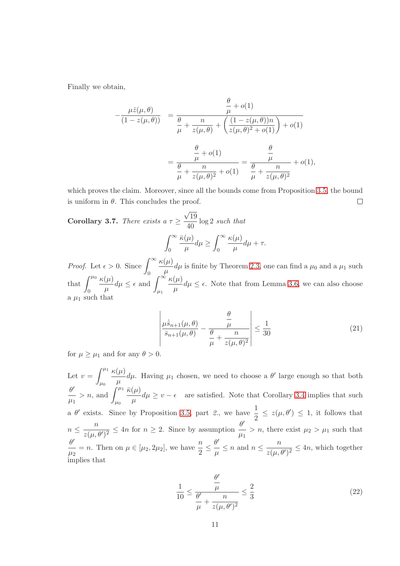Finally we obtain,

$$
-\frac{\mu \dot{z}(\mu,\theta)}{(1-z(\mu,\theta))} = \frac{\frac{\theta}{\mu} + o(1)}{\frac{\theta}{\mu} + \frac{n}{z(\mu,\theta)} + \left(\frac{(1-z(\mu,\theta))n}{z(\mu,\theta)^2 + o(1)}\right) + o(1)} = \frac{\frac{\theta}{\mu} + o(1)}{\frac{\theta}{\mu} + \frac{n}{z(\mu,\theta)^2} + o(1)} = \frac{\frac{\theta}{\mu}}{\frac{\theta}{\mu} + \frac{n}{z(\mu,\theta)^2}} + o(1),
$$

which proves the claim. Moreover, since all the bounds come from Proposition [3.5,](#page-7-1) the bound is uniform in  $\theta$ . This concludes the proof.  $\Box$ 

<span id="page-10-2"></span>**Corollary 3.7.** There exists a  $\tau \geq$  $\sqrt{19}$  $\frac{10}{40}$  log 2 such that  $\int^{\infty}$  $\bar{\kappa}(\mu)$  $\frac{\Delta P}{\mu}d\mu\geq$  $\int^{\infty}$  $\kappa(\mu)$  $\frac{\partial^{\mu\nu}}{\partial \mu}d\mu + \tau.$ 

 $\mathbf{0}$ 

<span id="page-10-0"></span>*Proof.* Let  $\epsilon > 0$ . Since  $\int_{0}^{\infty}$ 0  $\kappa(\mu)$  $\frac{\partial \mu}{\partial \mu} d\mu$  is finite by Theorem [2.3,](#page-3-1) one can find a  $\mu_0$  and a  $\mu_1$  such that  $\int^{\mu_0}$  $\theta$  $\kappa(\mu)$  $\frac{(\mu)}{\mu}d\mu \leq \epsilon \text{ and } \int_{\mu_1}^{\infty}$  $\kappa(\mu)$  $\frac{\partial u}{\partial \mu} d\mu \leq \epsilon$ . Note that from Lemma [3.6,](#page-8-2) we can also choose a  $\mu_1$  such that

0

$$
\left| \frac{\mu \dot{\bar{s}}_{n+1}(\mu,\theta)}{\bar{s}_{n+1}(\mu,\theta)} - \frac{\frac{\theta}{\mu}}{\frac{\theta}{\mu} + \frac{n}{z(\mu,\theta)^2}} \right| \le \frac{1}{30}
$$
(21)

for  $\mu \geq \mu_1$  and for any  $\theta > 0$ .

<span id="page-10-1"></span>Let  $v = \int^{\mu_1}$  $\mu_0$  $\kappa(\mu)$  $\frac{(\mu)}{\mu}d\mu$ . Having  $\mu_1$  chosen, we need to choose a  $\theta'$  large enough so that both  $\theta'$  $\mu_1$  $> n$ , and  $\int^{\mu_1}$  $\mu_0$  $\bar{\kappa}(\mu)$  $\frac{\partial u}{\partial \mu} d\mu \geq v - \epsilon$  are satisfied. Note that Corollary [3.4](#page-6-1) implies that such a  $\theta'$  exists. Since by Proposition [3.5,](#page-7-1) part 2, we have  $\frac{1}{2} \leq z(\mu, \theta') \leq 1$ , it follows that  $n \leq \frac{n}{z(n)}$  $\frac{n}{z(\mu,\theta')^2} \leq 4n$  for  $n \geq 2$ . Since by assumption  $\frac{\theta'}{\mu_1}$  $\frac{\sigma}{\mu_1} > n$ , there exist  $\mu_2 > \mu_1$  such that  $\theta'$  $\frac{\theta'}{\mu_2} = n$ . Then on  $\mu \in [\mu_2, 2\mu_2]$ , we have  $\frac{n}{2} \leq$  $\theta'$  $\frac{\theta'}{\mu} \leq n$  and  $n \leq \frac{n}{z(\mu, n)}$  $\frac{n}{z(\mu,\theta')^2} \leq 4n$ , which together implies that

$$
\frac{1}{10} \le \frac{\frac{\theta'}{\mu}}{\frac{\theta'}{\mu} + \frac{n}{z(\mu, \theta')^2}} \le \frac{2}{3}
$$
\n(22)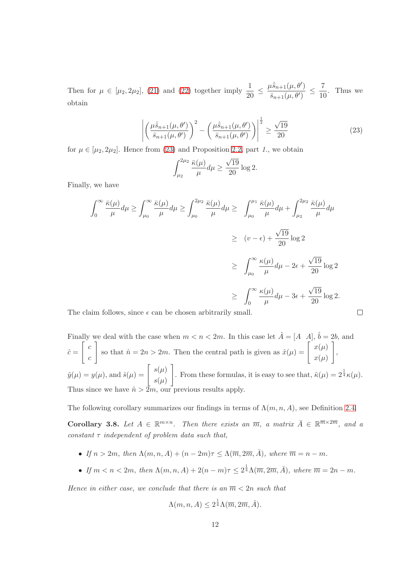<span id="page-11-0"></span>Then for  $\mu \in [\mu_2, 2\mu_2]$ , [\(21\)](#page-10-0) and [\(22\)](#page-10-1) together imply  $\frac{1}{20} \leq$  $\mu \dot{\bar{s}}_{n+1}(\mu, \theta')$  $\frac{1}{\bar{s}_{n+1}(\mu,\theta')} \leq$ 7  $\frac{1}{10}$ . Thus we obtain

$$
\left| \left( \frac{\mu \dot{\bar{s}}_{n+1}(\mu, \theta')}{\bar{s}_{n+1}(\mu, \theta')} \right)^2 - \left( \frac{\mu \dot{\bar{s}}_{n+1}(\mu, \theta')}{\bar{s}_{n+1}(\mu, \theta')} \right) \right|^{\frac{1}{2}} \ge \frac{\sqrt{19}}{20}
$$
\n(23)

 $\Box$ 

for  $\mu \in [\mu_2, 2\mu_2]$ . Hence from [\(23\)](#page-11-0) and Proposition [2.2,](#page-2-1) part 1., we obtain

$$
\int_{\mu_2}^{2\mu_2} \frac{\bar{\kappa}(\mu)}{\mu} d\mu \ge \frac{\sqrt{19}}{20} \log 2.
$$

Finally, we have

$$
\int_0^\infty \frac{\bar{\kappa}(\mu)}{\mu} d\mu \ge \int_{\mu_0}^\infty \frac{\bar{\kappa}(\mu)}{\mu} d\mu \ge \int_{\mu_0}^{2\mu_2} \frac{\bar{\kappa}(\mu)}{\mu} d\mu \ge \int_{\mu_0}^{\mu_1} \frac{\bar{\kappa}(\mu)}{\mu} d\mu + \int_{\mu_2}^{2\mu_2} \frac{\bar{\kappa}(\mu)}{\mu} d\mu
$$
  

$$
\ge (v - \epsilon) + \frac{\sqrt{19}}{20} \log 2
$$
  

$$
\ge \int_{\mu_0}^\infty \frac{\kappa(\mu)}{\mu} d\mu - 2\epsilon + \frac{\sqrt{19}}{20} \log 2
$$
  

$$
\ge \int_0^\infty \frac{\kappa(\mu)}{\mu} d\mu - 3\epsilon + \frac{\sqrt{19}}{20} \log 2.
$$

The claim follows, since  $\epsilon$  can be chosen arbitrarily small.

Finally we deal with the case when  $m < n < 2m$ . In this case let  $\hat{A} = [A \ A], \hat{b} = 2b$ , and  $\hat{c} =$  $\lceil c \rceil$ c so that  $\hat{n} = 2n > 2m$ . Then the central path is given as  $\hat{x}(\mu) = \begin{bmatrix} x(\mu) \\ y(\mu) \end{bmatrix}$  $x(\mu)$ 1 ,  $\hat{y}(\mu) = y(\mu)$ , and  $\hat{s}(\mu) = \begin{bmatrix} s(\mu) \\ s(\mu) \end{bmatrix}$  $s(\mu)$ From these formulas, it is easy to see that,  $\hat{\kappa}(\mu) = 2^{\frac{1}{4}} \kappa(\mu)$ . Thus since we have  $\hat{n} > 2m$ , our previous results apply.

The following corollary summarizes our findings in terms of  $\Lambda(m, n, A)$ , see Definition [2.4.](#page-3-3)

Corollary 3.8. Let  $A \in \mathbb{R}^{m \times n}$ . Then there exists an  $\overline{m}$ , a matrix  $\overline{A} \in \mathbb{R}^{\overline{m} \times 2\overline{m}}$ , and a constant  $\tau$  independent of problem data such that,

- If  $n > 2m$ , then  $\Lambda(m, n, A) + (n 2m)\tau \leq \Lambda(\overline{m}, 2\overline{m}, \overline{A})$ , where  $\overline{m} = n m$ .
- If  $m < n < 2m$ , then  $\Lambda(m, n, A) + 2(n m)\tau \leq 2^{\frac{1}{4}} \Lambda(\overline{m}, 2\overline{m}, \overline{A})$ , where  $\overline{m} = 2n m$ .

Hence in either case, we conclude that there is an  $\overline{m} < 2n$  such that

$$
\Lambda(m, n, A) \le 2^{\frac{1}{4}} \Lambda(\overline{m}, 2\overline{m}, \overline{A}).
$$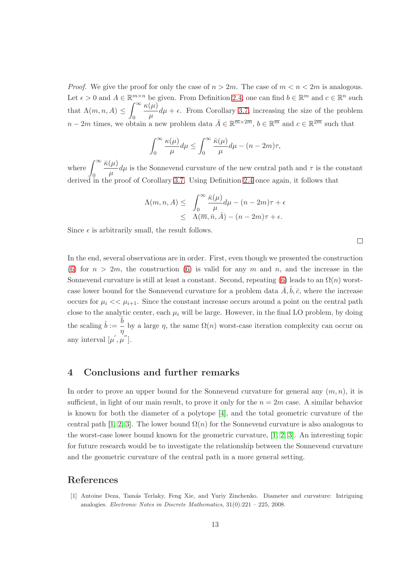*Proof.* We give the proof for only the case of  $n > 2m$ . The case of  $m < n < 2m$  is analogous. Let  $\epsilon > 0$  and  $A \in \mathbb{R}^{m \times n}$  be given. From Definition [2.4,](#page-3-3) one can find  $b \in \mathbb{R}^m$  and  $c \in \mathbb{R}^n$  such that  $\Lambda(m, n, A) \leq$  $\int_{-\infty}^{\infty} \kappa(\mu)$  $n-2m$  times, we obtain a new problem data  $\bar{A} \in \mathbb{R}^{\overline{m} \times 2\overline{m}}$ ,  $b \in \mathbb{R}^{\overline{m}}$  and  $c \in \mathbb{R}^{2\overline{m}}$  such that  $\frac{\partial u}{\partial \mu} d\mu + \epsilon$ . From Corollary [3.7,](#page-10-2) increasing the size of the problem

$$
\int_0^\infty \frac{\kappa(\mu)}{\mu} d\mu \le \int_0^\infty \frac{\bar{\kappa}(\mu)}{\mu} d\mu - (n - 2m)\tau,
$$

where  $\int^{\infty}$  $\ddot{0}$  $\bar{\kappa}(\mu)$  $\frac{\partial u}{\partial t}$  d $\mu$  is the Sonnevend curvature of the new central path and  $\tau$  is the constant derived in the proof of Corollary [3.7.](#page-10-2) Using Definition [2.4](#page-3-3) once again, it follows that

$$
\Lambda(m, n, A) \leq \int_0^\infty \frac{\bar{\kappa}(\mu)}{\mu} d\mu - (n - 2m)\tau + \epsilon
$$
  

$$
\leq \Lambda(\overline{m}, \overline{n}, \overline{A}) - (n - 2m)\tau + \epsilon.
$$

 $\Box$ 

Since  $\epsilon$  is arbitrarily small, the result follows.

In the end, several observations are in order. First, even though we presented the construction [\(6\)](#page-4-0) for  $n > 2m$ , the construction [\(6\)](#page-4-0) is valid for any m and n, and the increase in the Sonnevend curvature is still at least a constant. Second, repeating [\(6\)](#page-4-0) leads to an  $\Omega(n)$  worstcase lower bound for the Sonnevend curvature for a problem data  $\bar{A}, \bar{b}, \bar{c}$ , where the increase occurs for  $\mu_i \ll \mu_{i+1}$ . Since the constant increase occurs around a point on the central path close to the analytic center, each  $\mu_i$  will be large. However, in the final LO problem, by doing the scaling  $\hat{b} := \frac{\overline{b}}{\overline{b}}$  $\frac{1}{\eta}$  by a large  $\eta$ , the same  $\Omega(n)$  worst-case iteration complexity can occur on any interval  $[\mu', \mu'']$ .

# <span id="page-12-0"></span>4 Conclusions and further remarks

In order to prove an upper bound for the Sonnevend curvature for general any  $(m, n)$ , it is sufficient, in light of our main result, to prove it only for the  $n = 2m$  case. A similar behavior is known for both the diameter of a polytope [\[4\]](#page-13-3), and the total geometric curvature of the central path [\[1,](#page-12-1) [2,](#page-13-8) [3\]](#page-13-2). The lower bound  $\Omega(n)$  for the Sonnevend curvature is also analogous to the worst-case lower bound known for the geometric curvature, [\[1,](#page-12-1) [2,](#page-13-8) [3\]](#page-13-2). An interesting topic for future research would be to investigate the relationship between the Sonnevend curvature and the geometric curvature of the central path in a more general setting.

# <span id="page-12-1"></span>References

[1] Antoine Deza, Tamás Terlaky, Feng Xie, and Yuriy Zinchenko. Diameter and curvature: Intriguing analogies. Electronic Notes in Discrete Mathematics, 31(0):221 – 225, 2008.